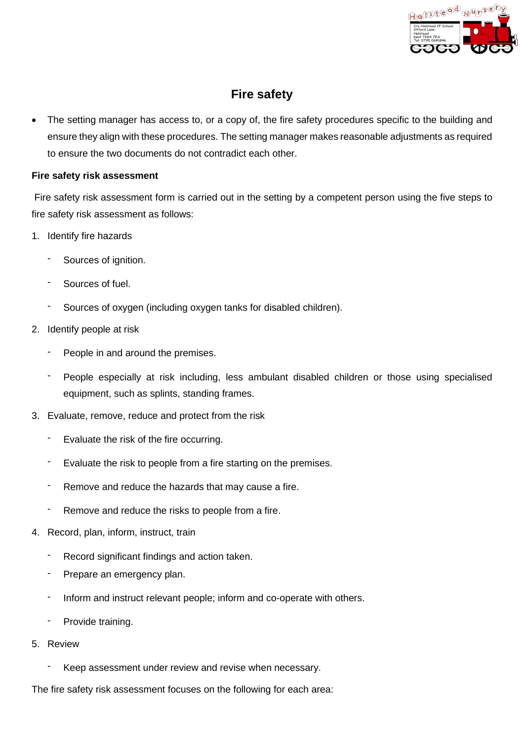

# **Fire safety**

• The setting manager has access to, or a copy of, the fire safety procedures specific to the building and ensure they align with these procedures. The setting manager makes reasonable adjustments as required to ensure the two documents do not contradict each other.

## **Fire safety risk assessment**

Fire safety risk assessment form is carried out in the setting by a competent person using the five steps to fire safety risk assessment as follows:

- 1. Identify fire hazards
	- Sources of ignition.
	- Sources of fuel.
	- Sources of oxygen (including oxygen tanks for disabled children).
- 2. Identify people at risk
	- People in and around the premises.
	- People especially at risk including, less ambulant disabled children or those using specialised equipment, such as splints, standing frames.
- 3. Evaluate, remove, reduce and protect from the risk
	- Evaluate the risk of the fire occurring.
	- Evaluate the risk to people from a fire starting on the premises.
	- Remove and reduce the hazards that may cause a fire.
	- Remove and reduce the risks to people from a fire.
- 4. Record, plan, inform, instruct, train
	- Record significant findings and action taken.
	- Prepare an emergency plan.
	- Inform and instruct relevant people; inform and co-operate with others.
	- Provide training.
- 5. Review
	- Keep assessment under review and revise when necessary.

The fire safety risk assessment focuses on the following for each area: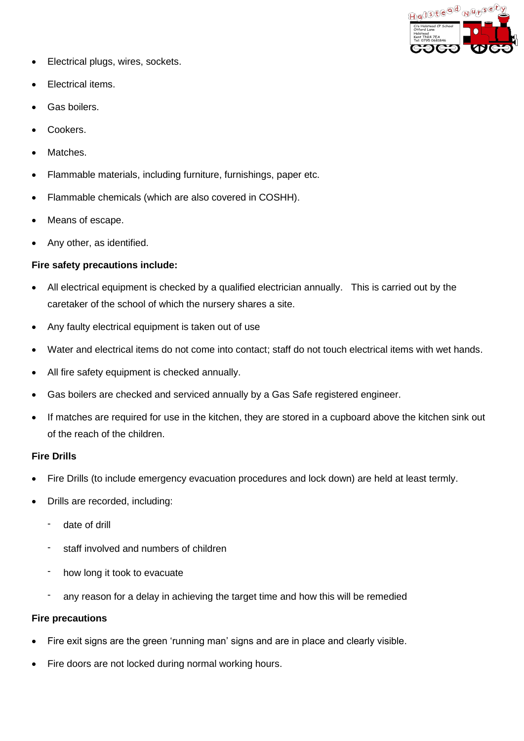

- Electrical plugs, wires, sockets.
- Electrical items.
- Gas boilers.
- Cookers.
- Matches.
- Flammable materials, including furniture, furnishings, paper etc.
- Flammable chemicals (which are also covered in COSHH).
- Means of escape.
- Any other, as identified.

## **Fire safety precautions include:**

- All electrical equipment is checked by a qualified electrician annually. This is carried out by the caretaker of the school of which the nursery shares a site.
- Any faulty electrical equipment is taken out of use
- Water and electrical items do not come into contact; staff do not touch electrical items with wet hands.
- All fire safety equipment is checked annually.
- Gas boilers are checked and serviced annually by a Gas Safe registered engineer.
- If matches are required for use in the kitchen, they are stored in a cupboard above the kitchen sink out of the reach of the children.

## **Fire Drills**

- Fire Drills (to include emergency evacuation procedures and lock down) are held at least termly.
- Drills are recorded, including:
	- date of drill
	- staff involved and numbers of children
	- how long it took to evacuate
	- any reason for a delay in achieving the target time and how this will be remedied

## **Fire precautions**

- Fire exit signs are the green 'running man' signs and are in place and clearly visible.
- Fire doors are not locked during normal working hours.